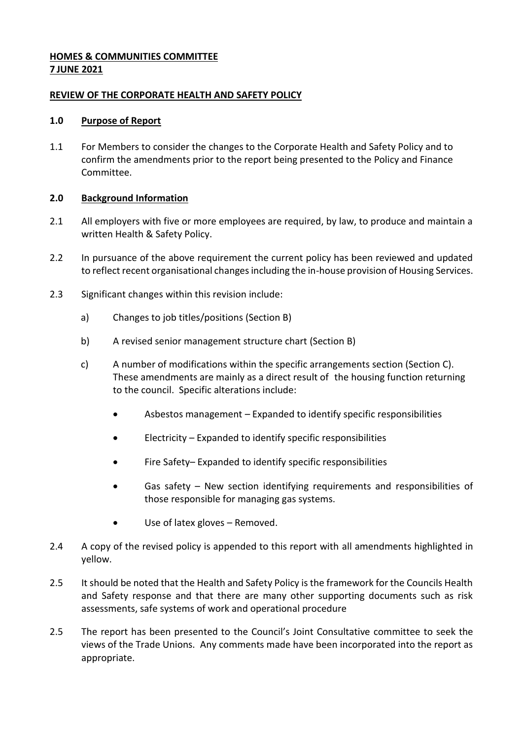# **HOMES & COMMUNITIES COMMITTEE 7 JUNE 2021**

### **REVIEW OF THE CORPORATE HEALTH AND SAFETY POLICY**

### **1.0 Purpose of Report**

1.1 For Members to consider the changes to the Corporate Health and Safety Policy and to confirm the amendments prior to the report being presented to the Policy and Finance Committee.

# **2.0 Background Information**

- 2.1 All employers with five or more employees are required, by law, to produce and maintain a written Health & Safety Policy.
- 2.2 In pursuance of the above requirement the current policy has been reviewed and updated to reflect recent organisational changes including the in-house provision of Housing Services.
- 2.3 Significant changes within this revision include:
	- a) Changes to job titles/positions (Section B)
	- b) A revised senior management structure chart (Section B)
	- c) A number of modifications within the specific arrangements section (Section C). These amendments are mainly as a direct result of the housing function returning to the council. Specific alterations include:
		- Asbestos management Expanded to identify specific responsibilities
		- Electricity Expanded to identify specific responsibilities
		- Fire Safety– Expanded to identify specific responsibilities
		- Gas safety New section identifying requirements and responsibilities of those responsible for managing gas systems.
		- Use of latex gloves Removed.
- 2.4 A copy of the revised policy is appended to this report with all amendments highlighted in yellow.
- 2.5 It should be noted that the Health and Safety Policy is the framework for the Councils Health and Safety response and that there are many other supporting documents such as risk assessments, safe systems of work and operational procedure
- 2.5 The report has been presented to the Council's Joint Consultative committee to seek the views of the Trade Unions. Any comments made have been incorporated into the report as appropriate.